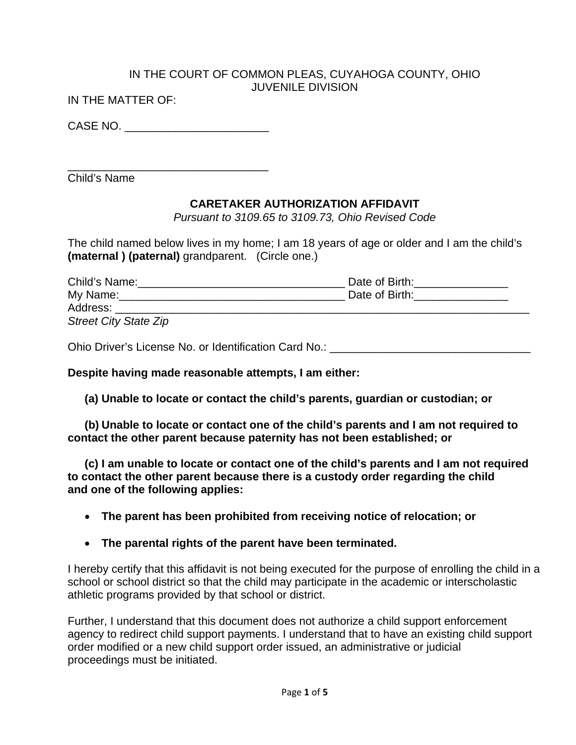### IN THE COURT OF COMMON PLEAS, CUYAHOGA COUNTY, OHIO JUVENILE DIVISION

IN THE MATTER OF:

\_\_\_\_\_\_\_\_\_\_\_\_\_\_\_\_\_\_\_\_\_\_\_\_\_\_\_\_\_\_\_\_ Child's Name

## **CARETAKER AUTHORIZATION AFFIDAVIT**

*Pursuant to 3109.65 to 3109.73, Ohio Revised Code* 

The child named below lives in my home; I am 18 years of age or older and I am the child's **(maternal ) (paternal)** grandparent. (Circle one.)

| Child's Name:                | Date of Birth: |
|------------------------------|----------------|
| My Name:                     | Date of Birth: |
| Address:                     |                |
| <b>Street City State Zip</b> |                |

Ohio Driver's License No. or Identification Card No.:

#### **Despite having made reasonable attempts, I am either:**

**(a) Unable to locate or contact the child's parents, guardian or custodian; or** 

**(b) Unable to locate or contact one of the child's parents and I am not required to contact the other parent because paternity has not been established; or** 

**(c) I am unable to locate or contact one of the child's parents and I am not required to contact the other parent because there is a custody order regarding the child and one of the following applies:** 

- **The parent has been prohibited from receiving notice of relocation; or**
- **The parental rights of the parent have been terminated.**

I hereby certify that this affidavit is not being executed for the purpose of enrolling the child in a school or school district so that the child may participate in the academic or interscholastic athletic programs provided by that school or district.

Further, I understand that this document does not authorize a child support enforcement agency to redirect child support payments. I understand that to have an existing child support order modified or a new child support order issued, an administrative or judicial proceedings must be initiated.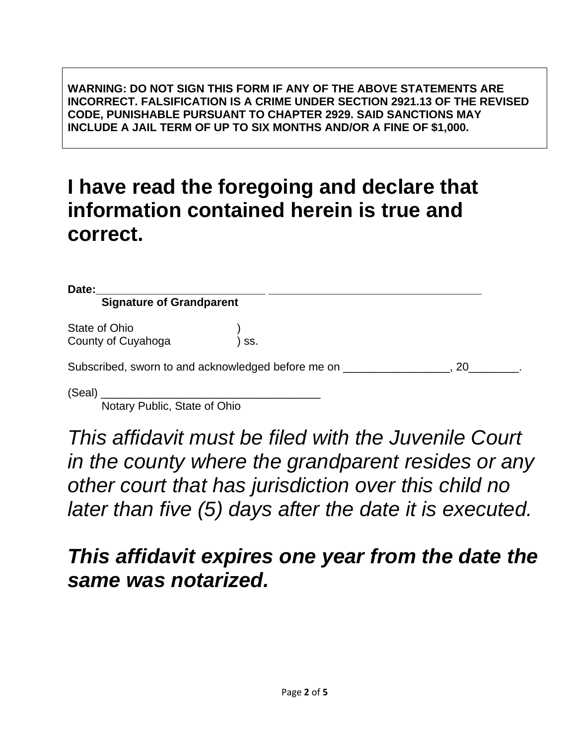**WARNING: DO NOT SIGN THIS FORM IF ANY OF THE ABOVE STATEMENTS ARE INCORRECT. FALSIFICATION IS A CRIME UNDER SECTION 2921.13 OF THE REVISED CODE, PUNISHABLE PURSUANT TO CHAPTER 2929. SAID SANCTIONS MAY INCLUDE A JAIL TERM OF UP TO SIX MONTHS AND/OR A FINE OF \$1,000.** 

# **I have read the foregoing and declare that information contained herein is true and correct.**

| Date:                                              |     |    |
|----------------------------------------------------|-----|----|
| <b>Signature of Grandparent</b>                    |     |    |
| State of Ohio<br>County of Cuyahoga                | SS. |    |
| Subscribed, sworn to and acknowledged before me on |     | 20 |
| (Seal)                                             |     |    |

Notary Public, State of Ohio

*This affidavit must be filed with the Juvenile Court in the county where the grandparent resides or any other court that has jurisdiction over this child no later than five (5) days after the date it is executed.* 

# *This affidavit expires one year from the date the same was notarized.*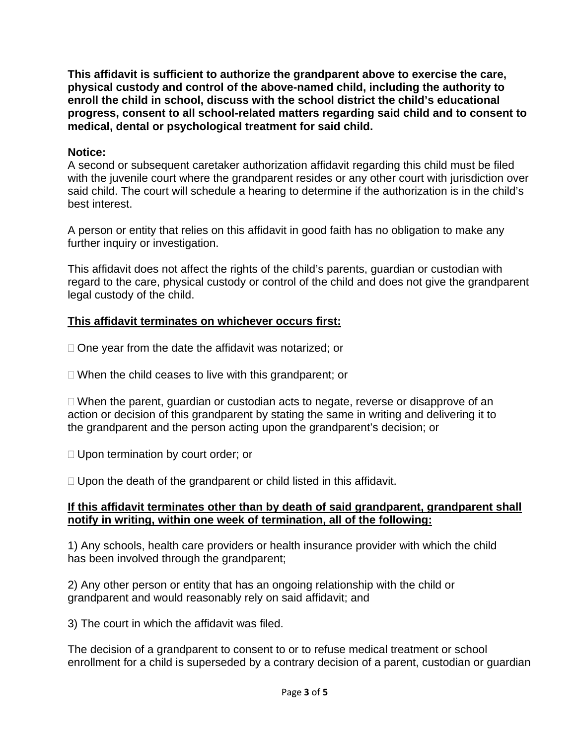**This affidavit is sufficient to authorize the grandparent above to exercise the care, physical custody and control of the above-named child, including the authority to enroll the child in school, discuss with the school district the child's educational progress, consent to all school-related matters regarding said child and to consent to medical, dental or psychological treatment for said child.** 

#### **Notice:**

A second or subsequent caretaker authorization affidavit regarding this child must be filed with the juvenile court where the grandparent resides or any other court with jurisdiction over said child. The court will schedule a hearing to determine if the authorization is in the child's best interest.

A person or entity that relies on this affidavit in good faith has no obligation to make any further inquiry or investigation.

This affidavit does not affect the rights of the child's parents, guardian or custodian with regard to the care, physical custody or control of the child and does not give the grandparent legal custody of the child.

## **This affidavit terminates on whichever occurs first:**

 $\Box$  One year from the date the affidavit was notarized; or

When the child ceases to live with this grandparent; or

 $\Box$  When the parent, guardian or custodian acts to negate, reverse or disapprove of an action or decision of this grandparent by stating the same in writing and delivering it to the grandparent and the person acting upon the grandparent's decision; or

 $\Box$  Upon termination by court order; or

 $\Box$  Upon the death of the grandparent or child listed in this affidavit.

#### **If this affidavit terminates other than by death of said grandparent, grandparent shall notify in writing, within one week of termination, all of the following:**

1) Any schools, health care providers or health insurance provider with which the child has been involved through the grandparent;

2) Any other person or entity that has an ongoing relationship with the child or grandparent and would reasonably rely on said affidavit; and

3) The court in which the affidavit was filed.

The decision of a grandparent to consent to or to refuse medical treatment or school enrollment for a child is superseded by a contrary decision of a parent, custodian or guardian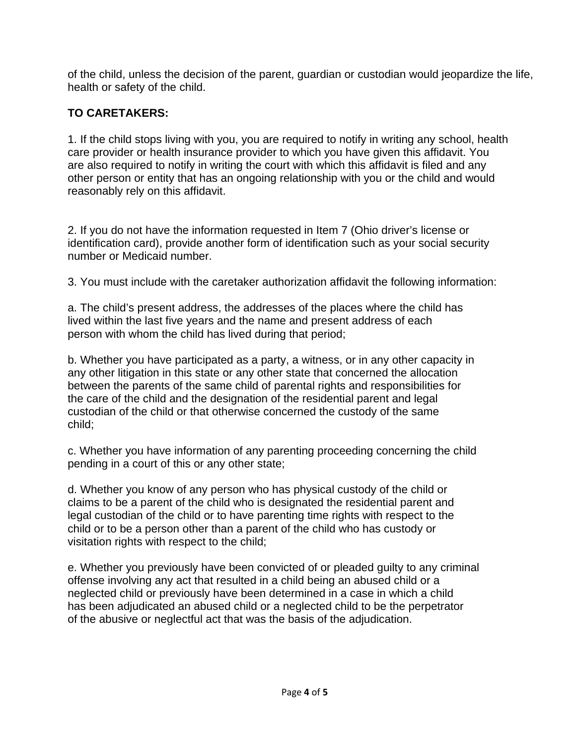of the child, unless the decision of the parent, guardian or custodian would jeopardize the life, health or safety of the child.

# **TO CARETAKERS:**

1. If the child stops living with you, you are required to notify in writing any school, health care provider or health insurance provider to which you have given this affidavit. You are also required to notify in writing the court with which this affidavit is filed and any other person or entity that has an ongoing relationship with you or the child and would reasonably rely on this affidavit.

2. If you do not have the information requested in Item 7 (Ohio driver's license or identification card), provide another form of identification such as your social security number or Medicaid number.

3. You must include with the caretaker authorization affidavit the following information:

a. The child's present address, the addresses of the places where the child has lived within the last five years and the name and present address of each person with whom the child has lived during that period;

b. Whether you have participated as a party, a witness, or in any other capacity in any other litigation in this state or any other state that concerned the allocation between the parents of the same child of parental rights and responsibilities for the care of the child and the designation of the residential parent and legal custodian of the child or that otherwise concerned the custody of the same child;

c. Whether you have information of any parenting proceeding concerning the child pending in a court of this or any other state;

d. Whether you know of any person who has physical custody of the child or claims to be a parent of the child who is designated the residential parent and legal custodian of the child or to have parenting time rights with respect to the child or to be a person other than a parent of the child who has custody or visitation rights with respect to the child;

e. Whether you previously have been convicted of or pleaded guilty to any criminal offense involving any act that resulted in a child being an abused child or a neglected child or previously have been determined in a case in which a child has been adjudicated an abused child or a neglected child to be the perpetrator of the abusive or neglectful act that was the basis of the adjudication.